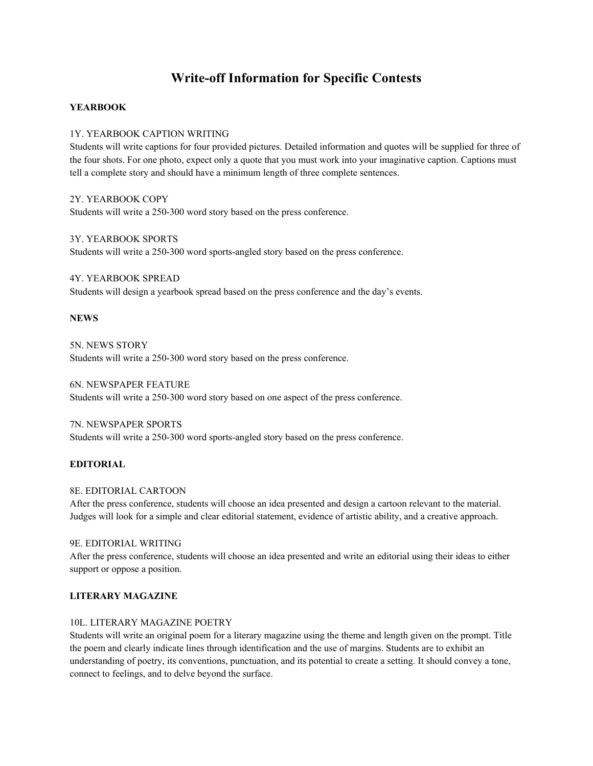# **Write-off Information for Specific Contests**

# **YEARBOOK**

# 1Y. YEARBOOK CAPTION WRITING

Students will write captions for four provided pictures. Detailed information and quotes will be supplied for three of the four shots. For one photo, expect only a quote that you must work into your imaginative caption. Captions must tell a complete story and should have a minimum length of three complete sentences.

2Y. YEARBOOK COPY Students will write a 250-300 word story based on the press conference.

3Y. YEARBOOK SPORTS Students will write a 250-300 word sports-angled story based on the press conference.

4Y. YEARBOOK SPREAD Students will design a yearbook spread based on the press conference and the day's events.

### **NEWS**

5N. NEWS STORY Students will write a 250-300 word story based on the press conference.

6N. NEWSPAPER FEATURE Students will write a 250-300 word story based on one aspect of the press conference.

7N. NEWSPAPER SPORTS Students will write a 250-300 word sports-angled story based on the press conference.

### **EDITORIAL**

### 8E. EDITORIAL CARTOON

After the press conference, students will choose an idea presented and design a cartoon relevant to the material. Judges will look for a simple and clear editorial statement, evidence of artistic ability, and a creative approach.

#### 9E. EDITORIAL WRITING

After the press conference, students will choose an idea presented and write an editorial using their ideas to either support or oppose a position.

## **LITERARY MAGAZINE**

# 10L. LITERARY MAGAZINE POETRY

Students will write an original poem for a literary magazine using the theme and length given on the prompt. Title the poem and clearly indicate lines through identification and the use of margins. Students are to exhibit an understanding of poetry, its conventions, punctuation, and its potential to create a setting. It should convey a tone, connect to feelings, and to delve beyond the surface.